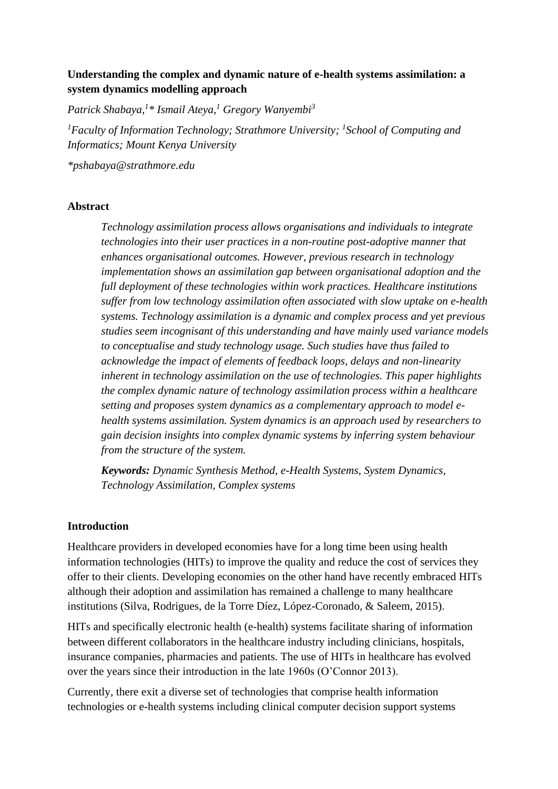#### **Understanding the complex and dynamic nature of e-health systems assimilation: a system dynamics modelling approach**

*Patrick Shabaya, 1 \* Ismail Ateya, <sup>1</sup> Gregory Wanyembi<sup>3</sup>*

<sup>1</sup> Faculty of Information Technology; Strathmore University; <sup>1</sup> School of Computing and *Informatics; Mount Kenya University*

*\*pshabaya@strathmore.edu*

#### **Abstract**

*Technology assimilation process allows organisations and individuals to integrate technologies into their user practices in a non-routine post-adoptive manner that enhances organisational outcomes. However, previous research in technology implementation shows an assimilation gap between organisational adoption and the full deployment of these technologies within work practices. Healthcare institutions suffer from low technology assimilation often associated with slow uptake on e-health systems. Technology assimilation is a dynamic and complex process and yet previous studies seem incognisant of this understanding and have mainly used variance models to conceptualise and study technology usage. Such studies have thus failed to acknowledge the impact of elements of feedback loops, delays and non-linearity inherent in technology assimilation on the use of technologies. This paper highlights the complex dynamic nature of technology assimilation process within a healthcare setting and proposes system dynamics as a complementary approach to model ehealth systems assimilation. System dynamics is an approach used by researchers to gain decision insights into complex dynamic systems by inferring system behaviour from the structure of the system.*

*Keywords: Dynamic Synthesis Method, e-Health Systems, System Dynamics, Technology Assimilation, Complex systems*

#### **Introduction**

Healthcare providers in developed economies have for a long time been using health information technologies (HITs) to improve the quality and reduce the cost of services they offer to their clients. Developing economies on the other hand have recently embraced HITs although their adoption and assimilation has remained a challenge to many healthcare institutions (Silva, Rodrigues, de la Torre Díez, López-Coronado, & Saleem, 2015).

HITs and specifically electronic health (e-health) systems facilitate sharing of information between different collaborators in the healthcare industry including clinicians, hospitals, insurance companies, pharmacies and patients. The use of HITs in healthcare has evolved over the years since their introduction in the late 1960s (O'Connor 2013).

Currently, there exit a diverse set of technologies that comprise health information technologies or e-health systems including clinical computer decision support systems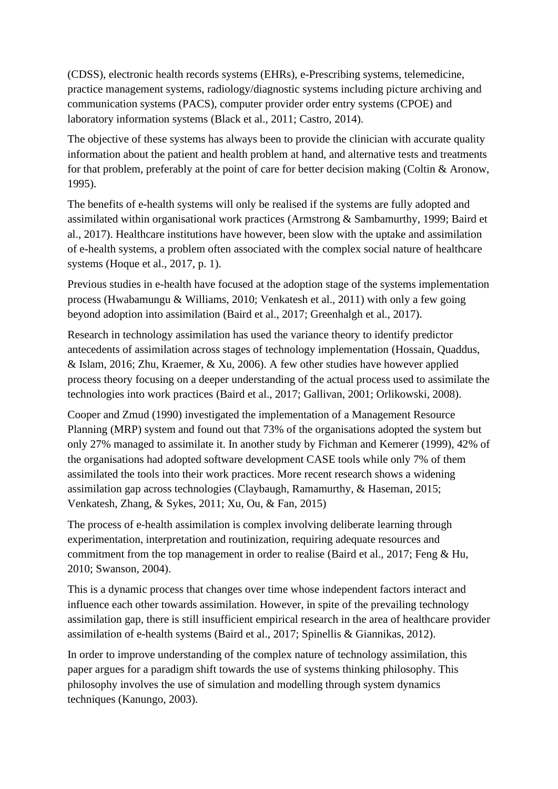(CDSS), electronic health records systems (EHRs), e-Prescribing systems, telemedicine, practice management systems, radiology/diagnostic systems including picture archiving and communication systems (PACS), computer provider order entry systems (CPOE) and laboratory information systems (Black et al., 2011; Castro, 2014).

The objective of these systems has always been to provide the clinician with accurate quality information about the patient and health problem at hand, and alternative tests and treatments for that problem, preferably at the point of care for better decision making (Coltin & Aronow, 1995).

The benefits of e-health systems will only be realised if the systems are fully adopted and assimilated within organisational work practices (Armstrong & Sambamurthy, 1999; Baird et al., 2017). Healthcare institutions have however, been slow with the uptake and assimilation of e-health systems, a problem often associated with the complex social nature of healthcare systems (Hoque et al., 2017, p. 1).

Previous studies in e-health have focused at the adoption stage of the systems implementation process (Hwabamungu & Williams, 2010; Venkatesh et al., 2011) with only a few going beyond adoption into assimilation (Baird et al., 2017; Greenhalgh et al., 2017).

Research in technology assimilation has used the variance theory to identify predictor antecedents of assimilation across stages of technology implementation (Hossain, Quaddus, & Islam, 2016; Zhu, Kraemer, & Xu, 2006). A few other studies have however applied process theory focusing on a deeper understanding of the actual process used to assimilate the technologies into work practices (Baird et al., 2017; Gallivan, 2001; Orlikowski, 2008).

Cooper and Zmud (1990) investigated the implementation of a Management Resource Planning (MRP) system and found out that 73% of the organisations adopted the system but only 27% managed to assimilate it. In another study by Fichman and Kemerer (1999), 42% of the organisations had adopted software development CASE tools while only 7% of them assimilated the tools into their work practices. More recent research shows a widening assimilation gap across technologies (Claybaugh, Ramamurthy, & Haseman, 2015; Venkatesh, Zhang, & Sykes, 2011; Xu, Ou, & Fan, 2015)

The process of e-health assimilation is complex involving deliberate learning through experimentation, interpretation and routinization, requiring adequate resources and commitment from the top management in order to realise (Baird et al., 2017; Feng & Hu, 2010; Swanson, 2004).

This is a dynamic process that changes over time whose independent factors interact and influence each other towards assimilation. However, in spite of the prevailing technology assimilation gap, there is still insufficient empirical research in the area of healthcare provider assimilation of e-health systems (Baird et al., 2017; Spinellis & Giannikas, 2012).

In order to improve understanding of the complex nature of technology assimilation, this paper argues for a paradigm shift towards the use of systems thinking philosophy. This philosophy involves the use of simulation and modelling through system dynamics techniques (Kanungo, 2003).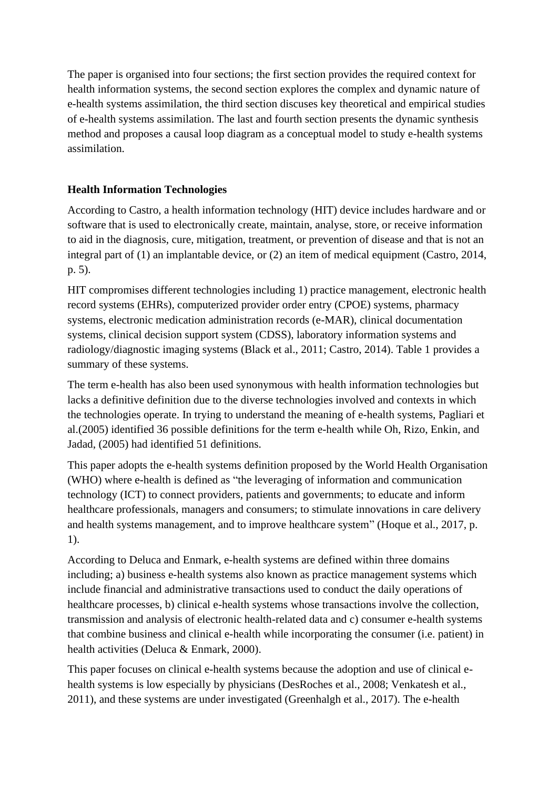The paper is organised into four sections; the first section provides the required context for health information systems, the second section explores the complex and dynamic nature of e-health systems assimilation, the third section discuses key theoretical and empirical studies of e-health systems assimilation. The last and fourth section presents the dynamic synthesis method and proposes a causal loop diagram as a conceptual model to study e-health systems assimilation.

## **Health Information Technologies**

According to Castro, a health information technology (HIT) device includes hardware and or software that is used to electronically create, maintain, analyse, store, or receive information to aid in the diagnosis, cure, mitigation, treatment, or prevention of disease and that is not an integral part of (1) an implantable device, or (2) an item of medical equipment (Castro, 2014, p. 5).

HIT compromises different technologies including 1) practice management, electronic health record systems (EHRs), computerized provider order entry (CPOE) systems, pharmacy systems, electronic medication administration records (e-MAR), clinical documentation systems, clinical decision support system (CDSS), laboratory information systems and radiology/diagnostic imaging systems (Black et al., 2011; Castro, 2014). Table 1 provides a summary of these systems.

The term e-health has also been used synonymous with health information technologies but lacks a definitive definition due to the diverse technologies involved and contexts in which the technologies operate. In trying to understand the meaning of e-health systems, Pagliari et al.(2005) identified 36 possible definitions for the term e-health while Oh, Rizo, Enkin, and Jadad, (2005) had identified 51 definitions.

This paper adopts the e-health systems definition proposed by the World Health Organisation (WHO) where e-health is defined as "the leveraging of information and communication technology (ICT) to connect providers, patients and governments; to educate and inform healthcare professionals, managers and consumers; to stimulate innovations in care delivery and health systems management, and to improve healthcare system" (Hoque et al., 2017, p. 1).

According to Deluca and Enmark, e-health systems are defined within three domains including; a) business e-health systems also known as practice management systems which include financial and administrative transactions used to conduct the daily operations of healthcare processes, b) clinical e-health systems whose transactions involve the collection, transmission and analysis of electronic health-related data and c) consumer e-health systems that combine business and clinical e-health while incorporating the consumer (i.e. patient) in health activities (Deluca & Enmark, 2000).

This paper focuses on clinical e-health systems because the adoption and use of clinical ehealth systems is low especially by physicians (DesRoches et al., 2008; Venkatesh et al., 2011), and these systems are under investigated (Greenhalgh et al., 2017). The e-health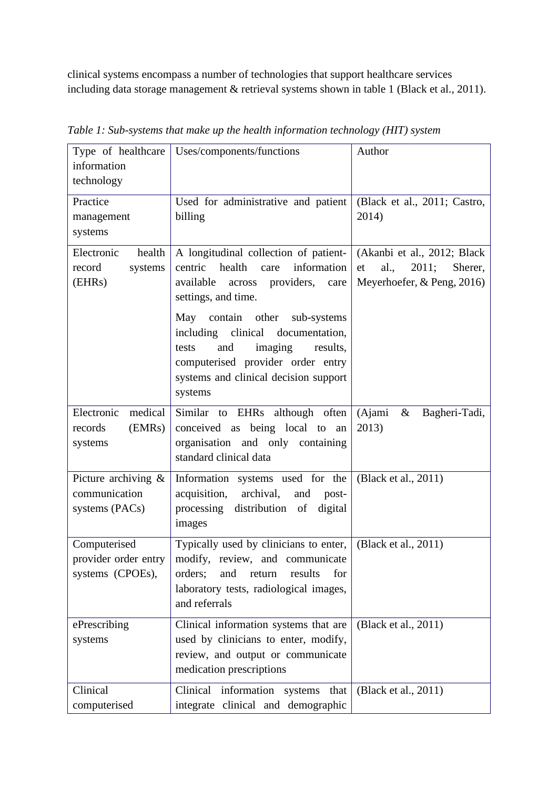clinical systems encompass a number of technologies that support healthcare services including data storage management & retrieval systems shown in table 1 (Black et al., 2011).

| Type of healthcare<br>information<br>technology           | Uses/components/functions                                                                                                                                                                          | Author                                                                                      |
|-----------------------------------------------------------|----------------------------------------------------------------------------------------------------------------------------------------------------------------------------------------------------|---------------------------------------------------------------------------------------------|
| Practice<br>management<br>systems                         | Used for administrative and patient<br>billing                                                                                                                                                     | (Black et al., 2011; Castro,<br>2014)                                                       |
| Electronic<br>health<br>record<br>systems<br>(EHRs)       | A longitudinal collection of patient-<br>information<br>health<br>centric<br>care<br>available across providers, care<br>settings, and time.                                                       | (Akanbi et al., 2012; Black<br>al.,<br>2011;<br>Sherer,<br>et<br>Meyerhoefer, & Peng, 2016) |
|                                                           | May contain other sub-systems<br>including clinical documentation,<br>and<br>imaging<br>results,<br>tests<br>computerised provider order entry<br>systems and clinical decision support<br>systems |                                                                                             |
| Electronic<br>medical<br>(EMRs)<br>records<br>systems     | Similar to EHRs although often<br>conceived as being local to an<br>organisation and only containing<br>standard clinical data                                                                     | (Ajami<br>$\&$<br>Bagheri-Tadi,<br>2013)                                                    |
| Picture archiving $\&$<br>communication<br>systems (PACs) | Information systems used for the<br>acquisition,<br>archival,<br>and<br>post-<br>processing distribution of<br>digital<br>images                                                                   | (Black et al., 2011)                                                                        |
| Computerised<br>provider order entry<br>systems (CPOEs),  | Typically used by clinicians to enter,<br>modify, review, and communicate<br>orders;<br>and<br>return<br>results<br>for<br>laboratory tests, radiological images,<br>and referrals                 | (Black et al., 2011)                                                                        |
| ePrescribing<br>systems                                   | Clinical information systems that are<br>used by clinicians to enter, modify,<br>review, and output or communicate<br>medication prescriptions                                                     | (Black et al., 2011)                                                                        |
| Clinical<br>computerised                                  | Clinical information systems<br>that<br>integrate clinical and demographic                                                                                                                         | (Black et al., 2011)                                                                        |

*Table 1: Sub-systems that make up the health information technology (HIT) system*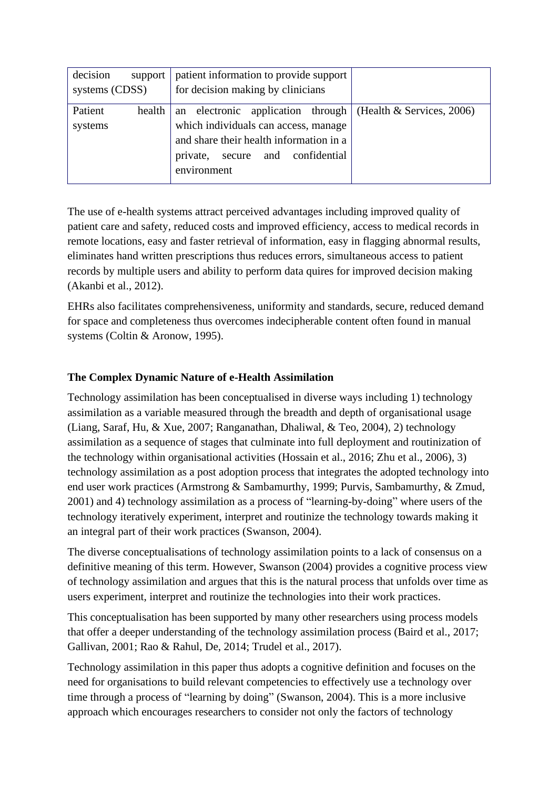| decision<br>support<br>systems (CDSS) | patient information to provide support<br>for decision making by clinicians                                                                                                                                   |  |
|---------------------------------------|---------------------------------------------------------------------------------------------------------------------------------------------------------------------------------------------------------------|--|
| Patient<br>health<br>systems          | electronic application through (Health & Services, 2006)<br>an<br>which individuals can access, manage<br>and share their health information in a<br>confidential<br>and<br>private,<br>secure<br>environment |  |

The use of e-health systems attract perceived advantages including improved quality of patient care and safety, reduced costs and improved efficiency, access to medical records in remote locations, easy and faster retrieval of information, easy in flagging abnormal results, eliminates hand written prescriptions thus reduces errors, simultaneous access to patient records by multiple users and ability to perform data quires for improved decision making (Akanbi et al., 2012).

EHRs also facilitates comprehensiveness, uniformity and standards, secure, reduced demand for space and completeness thus overcomes indecipherable content often found in manual systems (Coltin & Aronow, 1995).

## **The Complex Dynamic Nature of e-Health Assimilation**

Technology assimilation has been conceptualised in diverse ways including 1) technology assimilation as a variable measured through the breadth and depth of organisational usage (Liang, Saraf, Hu, & Xue, 2007; Ranganathan, Dhaliwal, & Teo, 2004), 2) technology assimilation as a sequence of stages that culminate into full deployment and routinization of the technology within organisational activities (Hossain et al., 2016; Zhu et al., 2006), 3) technology assimilation as a post adoption process that integrates the adopted technology into end user work practices (Armstrong & Sambamurthy, 1999; Purvis, Sambamurthy, & Zmud, 2001) and 4) technology assimilation as a process of "learning-by-doing" where users of the technology iteratively experiment, interpret and routinize the technology towards making it an integral part of their work practices (Swanson, 2004).

The diverse conceptualisations of technology assimilation points to a lack of consensus on a definitive meaning of this term. However, Swanson (2004) provides a cognitive process view of technology assimilation and argues that this is the natural process that unfolds over time as users experiment, interpret and routinize the technologies into their work practices.

This conceptualisation has been supported by many other researchers using process models that offer a deeper understanding of the technology assimilation process (Baird et al., 2017; Gallivan, 2001; Rao & Rahul, De, 2014; Trudel et al., 2017).

Technology assimilation in this paper thus adopts a cognitive definition and focuses on the need for organisations to build relevant competencies to effectively use a technology over time through a process of "learning by doing" (Swanson, 2004). This is a more inclusive approach which encourages researchers to consider not only the factors of technology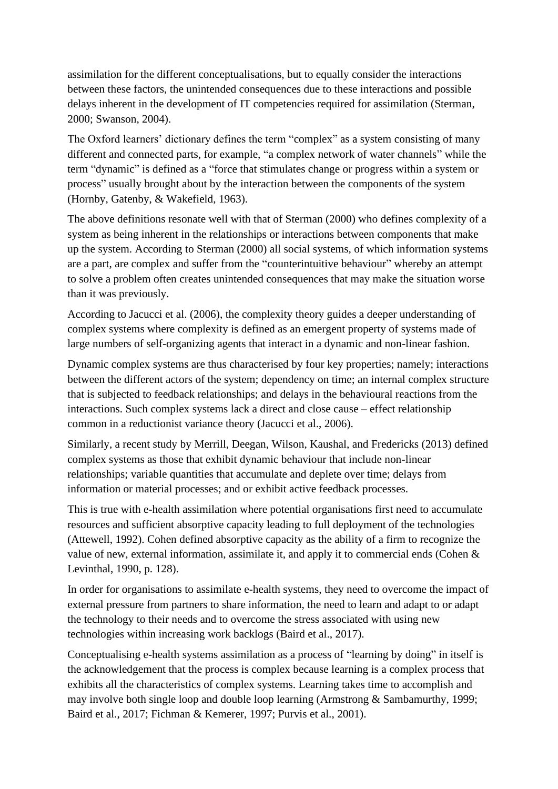assimilation for the different conceptualisations, but to equally consider the interactions between these factors, the unintended consequences due to these interactions and possible delays inherent in the development of IT competencies required for assimilation (Sterman, 2000; Swanson, 2004).

The Oxford learners' dictionary defines the term "complex" as a system consisting of many different and connected parts, for example, "a complex network of water channels" while the term "dynamic" is defined as a "force that stimulates change or progress within a system or process" usually brought about by the interaction between the components of the system (Hornby, Gatenby, & Wakefield, 1963).

The above definitions resonate well with that of Sterman (2000) who defines complexity of a system as being inherent in the relationships or interactions between components that make up the system. According to Sterman (2000) all social systems, of which information systems are a part, are complex and suffer from the "counterintuitive behaviour" whereby an attempt to solve a problem often creates unintended consequences that may make the situation worse than it was previously.

According to Jacucci et al. (2006), the complexity theory guides a deeper understanding of complex systems where complexity is defined as an emergent property of systems made of large numbers of self-organizing agents that interact in a dynamic and non-linear fashion.

Dynamic complex systems are thus characterised by four key properties; namely; interactions between the different actors of the system; dependency on time; an internal complex structure that is subjected to feedback relationships; and delays in the behavioural reactions from the interactions. Such complex systems lack a direct and close cause – effect relationship common in a reductionist variance theory (Jacucci et al., 2006).

Similarly, a recent study by Merrill, Deegan, Wilson, Kaushal, and Fredericks (2013) defined complex systems as those that exhibit dynamic behaviour that include non-linear relationships; variable quantities that accumulate and deplete over time; delays from information or material processes; and or exhibit active feedback processes.

This is true with e-health assimilation where potential organisations first need to accumulate resources and sufficient absorptive capacity leading to full deployment of the technologies (Attewell, 1992). Cohen defined absorptive capacity as the ability of a firm to recognize the value of new, external information, assimilate it, and apply it to commercial ends (Cohen & Levinthal, 1990, p. 128).

In order for organisations to assimilate e-health systems, they need to overcome the impact of external pressure from partners to share information, the need to learn and adapt to or adapt the technology to their needs and to overcome the stress associated with using new technologies within increasing work backlogs (Baird et al., 2017).

Conceptualising e-health systems assimilation as a process of "learning by doing" in itself is the acknowledgement that the process is complex because learning is a complex process that exhibits all the characteristics of complex systems. Learning takes time to accomplish and may involve both single loop and double loop learning (Armstrong & Sambamurthy, 1999; Baird et al., 2017; Fichman & Kemerer, 1997; Purvis et al., 2001).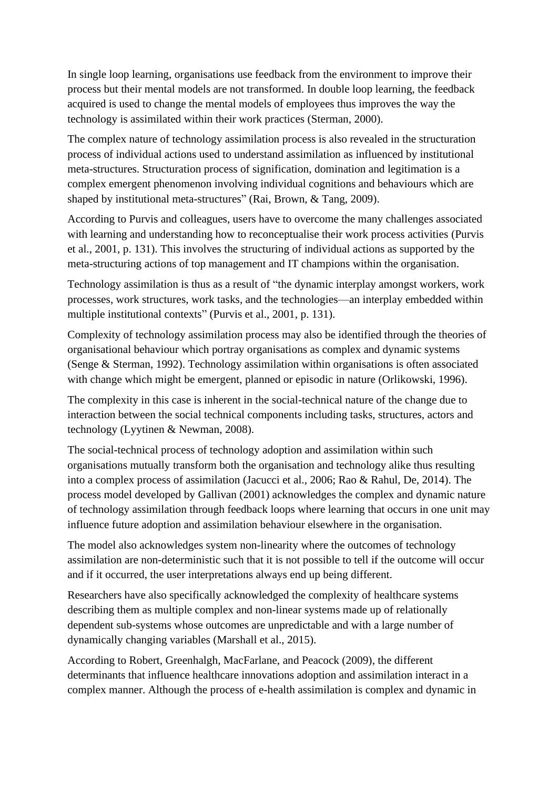In single loop learning, organisations use feedback from the environment to improve their process but their mental models are not transformed. In double loop learning, the feedback acquired is used to change the mental models of employees thus improves the way the technology is assimilated within their work practices (Sterman, 2000).

The complex nature of technology assimilation process is also revealed in the structuration process of individual actions used to understand assimilation as influenced by institutional meta-structures. Structuration process of signification, domination and legitimation is a complex emergent phenomenon involving individual cognitions and behaviours which are shaped by institutional meta-structures" (Rai, Brown, & Tang, 2009).

According to Purvis and colleagues, users have to overcome the many challenges associated with learning and understanding how to reconceptualise their work process activities (Purvis et al., 2001, p. 131). This involves the structuring of individual actions as supported by the meta-structuring actions of top management and IT champions within the organisation.

Technology assimilation is thus as a result of "the dynamic interplay amongst workers, work processes, work structures, work tasks, and the technologies—an interplay embedded within multiple institutional contexts" (Purvis et al., 2001, p. 131).

Complexity of technology assimilation process may also be identified through the theories of organisational behaviour which portray organisations as complex and dynamic systems (Senge & Sterman, 1992). Technology assimilation within organisations is often associated with change which might be emergent, planned or episodic in nature (Orlikowski, 1996).

The complexity in this case is inherent in the social-technical nature of the change due to interaction between the social technical components including tasks, structures, actors and technology (Lyytinen & Newman, 2008).

The social-technical process of technology adoption and assimilation within such organisations mutually transform both the organisation and technology alike thus resulting into a complex process of assimilation (Jacucci et al., 2006; Rao & Rahul, De, 2014). The process model developed by Gallivan (2001) acknowledges the complex and dynamic nature of technology assimilation through feedback loops where learning that occurs in one unit may influence future adoption and assimilation behaviour elsewhere in the organisation.

The model also acknowledges system non-linearity where the outcomes of technology assimilation are non-deterministic such that it is not possible to tell if the outcome will occur and if it occurred, the user interpretations always end up being different.

Researchers have also specifically acknowledged the complexity of healthcare systems describing them as multiple complex and non-linear systems made up of relationally dependent sub-systems whose outcomes are unpredictable and with a large number of dynamically changing variables (Marshall et al., 2015).

According to Robert, Greenhalgh, MacFarlane, and Peacock (2009), the different determinants that influence healthcare innovations adoption and assimilation interact in a complex manner. Although the process of e-health assimilation is complex and dynamic in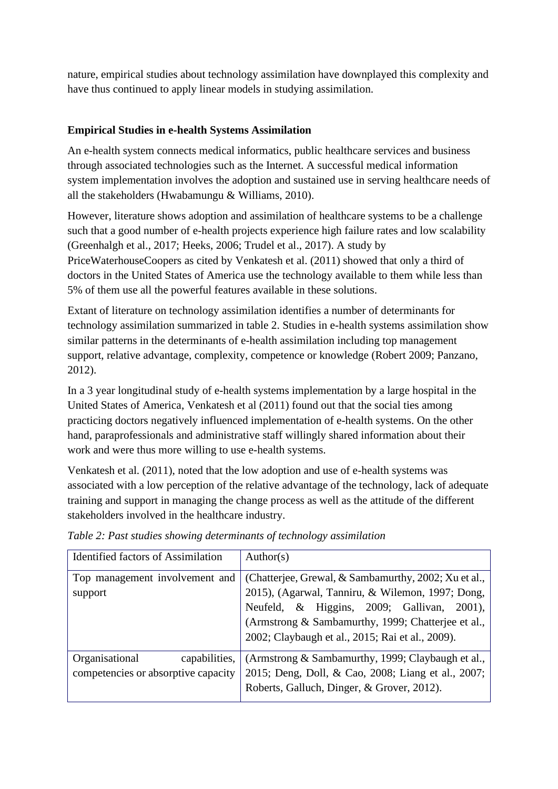nature, empirical studies about technology assimilation have downplayed this complexity and have thus continued to apply linear models in studying assimilation.

## **Empirical Studies in e-health Systems Assimilation**

An e-health system connects medical informatics, public healthcare services and business through associated technologies such as the Internet. A successful medical information system implementation involves the adoption and sustained use in serving healthcare needs of all the stakeholders (Hwabamungu & Williams, 2010).

However, literature shows adoption and assimilation of healthcare systems to be a challenge such that a good number of e-health projects experience high failure rates and low scalability (Greenhalgh et al., 2017; Heeks, 2006; Trudel et al., 2017). A study by PriceWaterhouseCoopers as cited by Venkatesh et al. (2011) showed that only a third of doctors in the United States of America use the technology available to them while less than 5% of them use all the powerful features available in these solutions.

Extant of literature on technology assimilation identifies a number of determinants for technology assimilation summarized in table 2. Studies in e-health systems assimilation show similar patterns in the determinants of e-health assimilation including top management support, relative advantage, complexity, competence or knowledge (Robert 2009; Panzano, 2012).

In a 3 year longitudinal study of e-health systems implementation by a large hospital in the United States of America, Venkatesh et al (2011) found out that the social ties among practicing doctors negatively influenced implementation of e-health systems. On the other hand, paraprofessionals and administrative staff willingly shared information about their work and were thus more willing to use e-health systems.

Venkatesh et al. (2011), noted that the low adoption and use of e-health systems was associated with a low perception of the relative advantage of the technology, lack of adequate training and support in managing the change process as well as the attitude of the different stakeholders involved in the healthcare industry.

| <b>Identified factors of Assimilation</b> | Author(s)                                            |
|-------------------------------------------|------------------------------------------------------|
|                                           |                                                      |
| Top management involvement and            | (Chatterjee, Grewal, & Sambamurthy, 2002; Xu et al., |
| support                                   | 2015), (Agarwal, Tanniru, & Wilemon, 1997; Dong,     |
|                                           | Neufeld, & Higgins, 2009; Gallivan, 2001),           |
|                                           | (Armstrong & Sambamurthy, 1999; Chatterjee et al.,   |
|                                           | 2002; Claybaugh et al., 2015; Rai et al., 2009).     |
| capabilities,<br>Organisational           | (Armstrong & Sambamurthy, 1999; Claybaugh et al.,    |
| competencies or absorptive capacity       | 2015; Deng, Doll, & Cao, 2008; Liang et al., 2007;   |
|                                           | Roberts, Galluch, Dinger, & Grover, 2012).           |
|                                           |                                                      |

*Table 2: Past studies showing determinants of technology assimilation*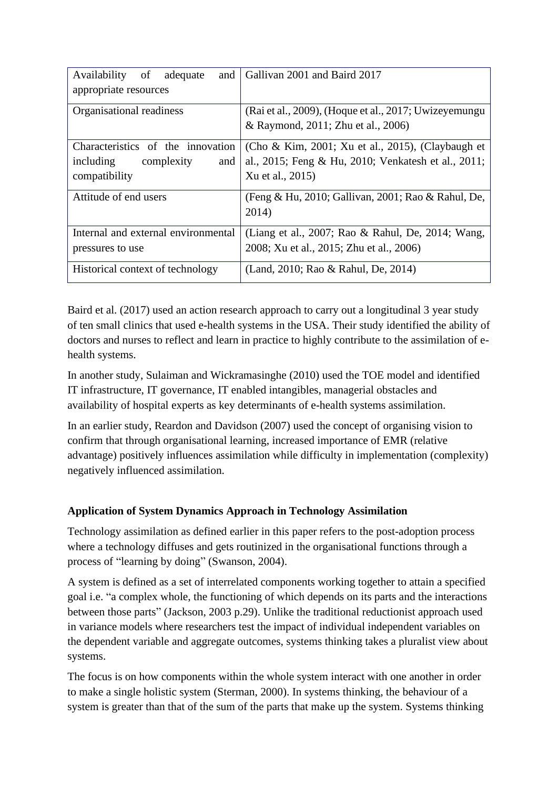| Availability<br>of adequate<br>and  | Gallivan 2001 and Baird 2017                          |
|-------------------------------------|-------------------------------------------------------|
| appropriate resources               |                                                       |
|                                     |                                                       |
| Organisational readiness            | (Rai et al., 2009), (Hoque et al., 2017; Uwizeyemungu |
|                                     | & Raymond, 2011; Zhu et al., 2006)                    |
| Characteristics of the innovation   | (Cho & Kim, 2001; Xu et al., 2015), (Claybaugh et     |
| including<br>complexity<br>and      | al., 2015; Feng & Hu, 2010; Venkatesh et al., 2011;   |
| compatibility                       | Xu et al., 2015)                                      |
| Attitude of end users               | (Feng & Hu, 2010; Gallivan, 2001; Rao & Rahul, De,    |
|                                     | 2014)                                                 |
| Internal and external environmental | (Liang et al., 2007; Rao & Rahul, De, 2014; Wang,     |
| pressures to use                    | 2008; Xu et al., 2015; Zhu et al., 2006)              |
| Historical context of technology    | (Land, 2010; Rao & Rahul, De, 2014)                   |

Baird et al. (2017) used an action research approach to carry out a longitudinal 3 year study of ten small clinics that used e-health systems in the USA. Their study identified the ability of doctors and nurses to reflect and learn in practice to highly contribute to the assimilation of ehealth systems.

In another study, Sulaiman and Wickramasinghe (2010) used the TOE model and identified IT infrastructure, IT governance, IT enabled intangibles, managerial obstacles and availability of hospital experts as key determinants of e-health systems assimilation.

In an earlier study, Reardon and Davidson (2007) used the concept of organising vision to confirm that through organisational learning, increased importance of EMR (relative advantage) positively influences assimilation while difficulty in implementation (complexity) negatively influenced assimilation.

## **Application of System Dynamics Approach in Technology Assimilation**

Technology assimilation as defined earlier in this paper refers to the post-adoption process where a technology diffuses and gets routinized in the organisational functions through a process of "learning by doing" (Swanson, 2004).

A system is defined as a set of interrelated components working together to attain a specified goal i.e. "a complex whole, the functioning of which depends on its parts and the interactions between those parts" (Jackson, 2003 p.29). Unlike the traditional reductionist approach used in variance models where researchers test the impact of individual independent variables on the dependent variable and aggregate outcomes, systems thinking takes a pluralist view about systems.

The focus is on how components within the whole system interact with one another in order to make a single holistic system (Sterman, 2000). In systems thinking, the behaviour of a system is greater than that of the sum of the parts that make up the system. Systems thinking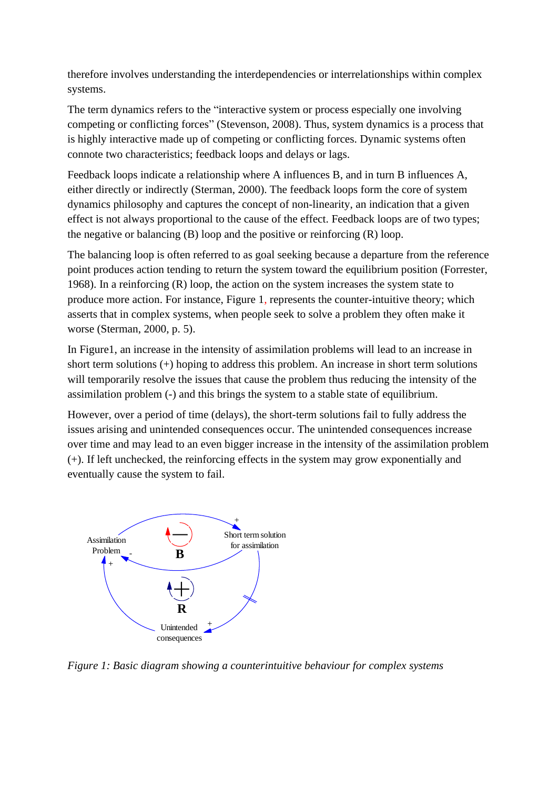therefore involves understanding the interdependencies or interrelationships within complex systems.

The term dynamics refers to the "interactive system or process especially one involving competing or conflicting forces" (Stevenson, 2008). Thus, system dynamics is a process that is highly interactive made up of competing or conflicting forces. Dynamic systems often connote two characteristics; feedback loops and delays or lags.

Feedback loops indicate a relationship where A influences B, and in turn B influences A, either directly or indirectly (Sterman, 2000). The feedback loops form the core of system dynamics philosophy and captures the concept of non-linearity, an indication that a given effect is not always proportional to the cause of the effect. Feedback loops are of two types; the negative or balancing  $(B)$  loop and the positive or reinforcing  $(R)$  loop.

The balancing loop is often referred to as goal seeking because a departure from the reference point produces action tending to return the system toward the equilibrium position (Forrester, 1968). In a reinforcing (R) loop, the action on the system increases the system state to produce more action. For instance, Figure 1, represents the counter-intuitive theory; which asserts that in complex systems, when people seek to solve a problem they often make it worse (Sterman, 2000, p. 5).

In Figure1, an increase in the intensity of assimilation problems will lead to an increase in short term solutions (+) hoping to address this problem. An increase in short term solutions will temporarily resolve the issues that cause the problem thus reducing the intensity of the assimilation problem (-) and this brings the system to a stable state of equilibrium.

However, over a period of time (delays), the short-term solutions fail to fully address the issues arising and unintended consequences occur. The unintended consequences increase over time and may lead to an even bigger increase in the intensity of the assimilation problem (+). If left unchecked, the reinforcing effects in the system may grow exponentially and eventually cause the system to fail.



*Figure 1: Basic diagram showing a counterintuitive behaviour for complex systems*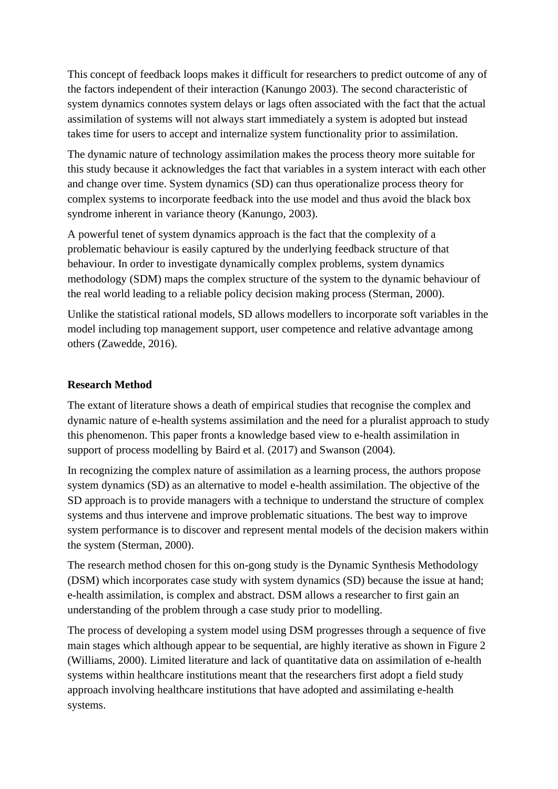This concept of feedback loops makes it difficult for researchers to predict outcome of any of the factors independent of their interaction (Kanungo 2003). The second characteristic of system dynamics connotes system delays or lags often associated with the fact that the actual assimilation of systems will not always start immediately a system is adopted but instead takes time for users to accept and internalize system functionality prior to assimilation.

The dynamic nature of technology assimilation makes the process theory more suitable for this study because it acknowledges the fact that variables in a system interact with each other and change over time. System dynamics (SD) can thus operationalize process theory for complex systems to incorporate feedback into the use model and thus avoid the black box syndrome inherent in variance theory (Kanungo, 2003).

A powerful tenet of system dynamics approach is the fact that the complexity of a problematic behaviour is easily captured by the underlying feedback structure of that behaviour. In order to investigate dynamically complex problems, system dynamics methodology (SDM) maps the complex structure of the system to the dynamic behaviour of the real world leading to a reliable policy decision making process (Sterman, 2000).

Unlike the statistical rational models, SD allows modellers to incorporate soft variables in the model including top management support, user competence and relative advantage among others (Zawedde, 2016).

#### **Research Method**

The extant of literature shows a death of empirical studies that recognise the complex and dynamic nature of e-health systems assimilation and the need for a pluralist approach to study this phenomenon. This paper fronts a knowledge based view to e-health assimilation in support of process modelling by Baird et al. (2017) and Swanson (2004).

In recognizing the complex nature of assimilation as a learning process, the authors propose system dynamics (SD) as an alternative to model e-health assimilation. The objective of the SD approach is to provide managers with a technique to understand the structure of complex systems and thus intervene and improve problematic situations. The best way to improve system performance is to discover and represent mental models of the decision makers within the system (Sterman, 2000).

The research method chosen for this on-gong study is the Dynamic Synthesis Methodology (DSM) which incorporates case study with system dynamics (SD) because the issue at hand; e-health assimilation, is complex and abstract. DSM allows a researcher to first gain an understanding of the problem through a case study prior to modelling.

The process of developing a system model using DSM progresses through a sequence of five main stages which although appear to be sequential, are highly iterative as shown in Figure 2 (Williams, 2000). Limited literature and lack of quantitative data on assimilation of e-health systems within healthcare institutions meant that the researchers first adopt a field study approach involving healthcare institutions that have adopted and assimilating e-health systems.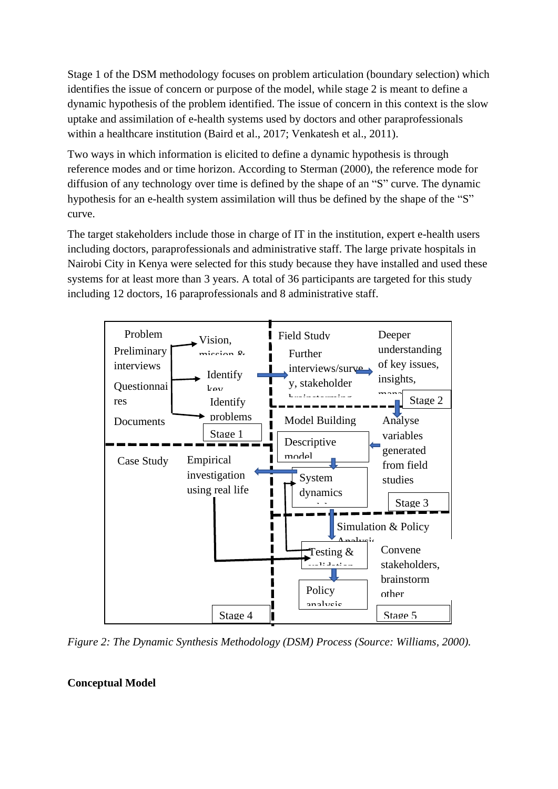Stage 1 of the DSM methodology focuses on problem articulation (boundary selection) which identifies the issue of concern or purpose of the model, while stage 2 is meant to define a dynamic hypothesis of the problem identified. The issue of concern in this context is the slow uptake and assimilation of e-health systems used by doctors and other paraprofessionals within a healthcare institution (Baird et al., 2017; Venkatesh et al., 2011).

Two ways in which information is elicited to define a dynamic hypothesis is through reference modes and or time horizon. According to Sterman (2000), the reference mode for diffusion of any technology over time is defined by the shape of an "S" curve. The dynamic hypothesis for an e-health system assimilation will thus be defined by the shape of the "S" curve.

The target stakeholders include those in charge of IT in the institution, expert e-health users including doctors, paraprofessionals and administrative staff. The large private hospitals in Nairobi City in Kenya were selected for this study because they have installed and used these systems for at least more than 3 years. A total of 36 participants are targeted for this study including 12 doctors, 16 paraprofessionals and 8 administrative staff.



*Figure 2: The Dynamic Synthesis Methodology (DSM) Process (Source: Williams, 2000).*

# **Conceptual Model**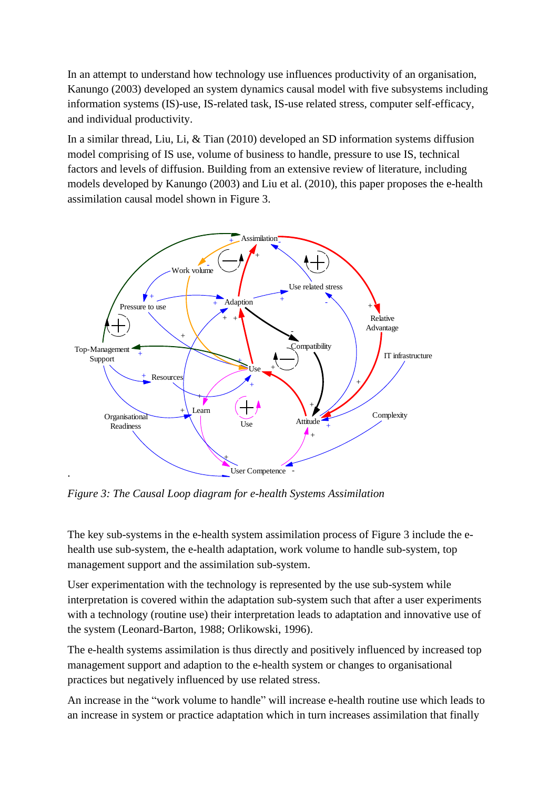In an attempt to understand how technology use influences productivity of an organisation, Kanungo (2003) developed an system dynamics causal model with five subsystems including information systems (IS)-use, IS-related task, IS-use related stress, computer self-efficacy, and individual productivity.

In a similar thread, Liu, Li, & Tian (2010) developed an SD information systems diffusion model comprising of IS use, volume of business to handle, pressure to use IS, technical factors and levels of diffusion. Building from an extensive review of literature, including models developed by Kanungo (2003) and Liu et al. (2010), this paper proposes the e-health assimilation causal model shown in Figure 3.



*Figure 3: The Causal Loop diagram for e-health Systems Assimilation*

The key sub-systems in the e-health system assimilation process of Figure 3 include the ehealth use sub-system, the e-health adaptation, work volume to handle sub-system, top management support and the assimilation sub-system.

User experimentation with the technology is represented by the use sub-system while interpretation is covered within the adaptation sub-system such that after a user experiments with a technology (routine use) their interpretation leads to adaptation and innovative use of the system (Leonard-Barton, 1988; Orlikowski, 1996).

The e-health systems assimilation is thus directly and positively influenced by increased top management support and adaption to the e-health system or changes to organisational practices but negatively influenced by use related stress.

An increase in the "work volume to handle" will increase e-health routine use which leads to an increase in system or practice adaptation which in turn increases assimilation that finally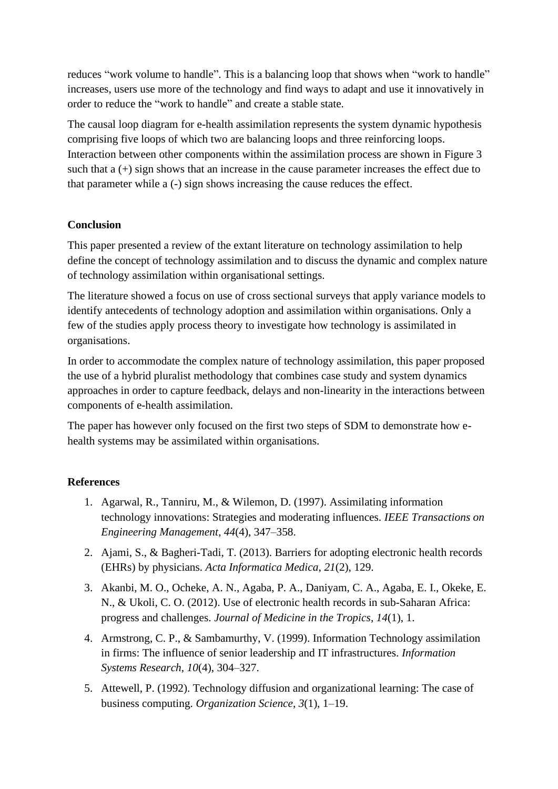reduces "work volume to handle". This is a balancing loop that shows when "work to handle" increases, users use more of the technology and find ways to adapt and use it innovatively in order to reduce the "work to handle" and create a stable state.

The causal loop diagram for e-health assimilation represents the system dynamic hypothesis comprising five loops of which two are balancing loops and three reinforcing loops. Interaction between other components within the assimilation process are shown in Figure 3 such that a (+) sign shows that an increase in the cause parameter increases the effect due to that parameter while a (-) sign shows increasing the cause reduces the effect.

#### **Conclusion**

This paper presented a review of the extant literature on technology assimilation to help define the concept of technology assimilation and to discuss the dynamic and complex nature of technology assimilation within organisational settings.

The literature showed a focus on use of cross sectional surveys that apply variance models to identify antecedents of technology adoption and assimilation within organisations. Only a few of the studies apply process theory to investigate how technology is assimilated in organisations.

In order to accommodate the complex nature of technology assimilation, this paper proposed the use of a hybrid pluralist methodology that combines case study and system dynamics approaches in order to capture feedback, delays and non-linearity in the interactions between components of e-health assimilation.

The paper has however only focused on the first two steps of SDM to demonstrate how ehealth systems may be assimilated within organisations.

## **References**

- 1. Agarwal, R., Tanniru, M., & Wilemon, D. (1997). Assimilating information technology innovations: Strategies and moderating influences. *IEEE Transactions on Engineering Management*, *44*(4), 347–358.
- 2. Ajami, S., & Bagheri-Tadi, T. (2013). Barriers for adopting electronic health records (EHRs) by physicians. *Acta Informatica Medica*, *21*(2), 129.
- 3. Akanbi, M. O., Ocheke, A. N., Agaba, P. A., Daniyam, C. A., Agaba, E. I., Okeke, E. N., & Ukoli, C. O. (2012). Use of electronic health records in sub-Saharan Africa: progress and challenges. *Journal of Medicine in the Tropics*, *14*(1), 1.
- 4. Armstrong, C. P., & Sambamurthy, V. (1999). Information Technology assimilation in firms: The influence of senior leadership and IT infrastructures. *Information Systems Research*, *10*(4), 304–327.
- 5. Attewell, P. (1992). Technology diffusion and organizational learning: The case of business computing. *Organization Science*, *3*(1), 1–19.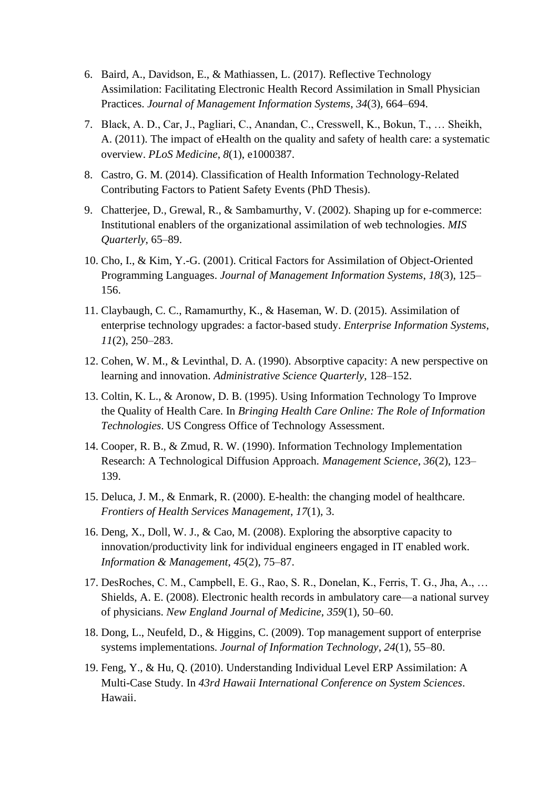- 6. Baird, A., Davidson, E., & Mathiassen, L. (2017). Reflective Technology Assimilation: Facilitating Electronic Health Record Assimilation in Small Physician Practices. *Journal of Management Information Systems*, *34*(3), 664–694.
- 7. Black, A. D., Car, J., Pagliari, C., Anandan, C., Cresswell, K., Bokun, T., … Sheikh, A. (2011). The impact of eHealth on the quality and safety of health care: a systematic overview. *PLoS Medicine*, *8*(1), e1000387.
- 8. Castro, G. M. (2014). Classification of Health Information Technology-Related Contributing Factors to Patient Safety Events (PhD Thesis).
- 9. Chatterjee, D., Grewal, R., & Sambamurthy, V. (2002). Shaping up for e-commerce: Institutional enablers of the organizational assimilation of web technologies. *MIS Quarterly*, 65–89.
- 10. Cho, I., & Kim, Y.-G. (2001). Critical Factors for Assimilation of Object-Oriented Programming Languages. *Journal of Management Information Systems*, *18*(3), 125– 156.
- 11. Claybaugh, C. C., Ramamurthy, K., & Haseman, W. D. (2015). Assimilation of enterprise technology upgrades: a factor-based study. *Enterprise Information Systems*, *11*(2), 250–283.
- 12. Cohen, W. M., & Levinthal, D. A. (1990). Absorptive capacity: A new perspective on learning and innovation. *Administrative Science Quarterly*, 128–152.
- 13. Coltin, K. L., & Aronow, D. B. (1995). Using Information Technology To Improve the Quality of Health Care. In *Bringing Health Care Online: The Role of Information Technologies*. US Congress Office of Technology Assessment.
- 14. Cooper, R. B., & Zmud, R. W. (1990). Information Technology Implementation Research: A Technological Diffusion Approach. *Management Science*, *36*(2), 123– 139.
- 15. Deluca, J. M., & Enmark, R. (2000). E-health: the changing model of healthcare. *Frontiers of Health Services Management*, *17*(1), 3.
- 16. Deng, X., Doll, W. J., & Cao, M. (2008). Exploring the absorptive capacity to innovation/productivity link for individual engineers engaged in IT enabled work. *Information & Management*, *45*(2), 75–87.
- 17. DesRoches, C. M., Campbell, E. G., Rao, S. R., Donelan, K., Ferris, T. G., Jha, A., … Shields, A. E. (2008). Electronic health records in ambulatory care—a national survey of physicians. *New England Journal of Medicine*, *359*(1), 50–60.
- 18. Dong, L., Neufeld, D., & Higgins, C. (2009). Top management support of enterprise systems implementations. *Journal of Information Technology*, *24*(1), 55–80.
- 19. Feng, Y., & Hu, Q. (2010). Understanding Individual Level ERP Assimilation: A Multi-Case Study. In *43rd Hawaii International Conference on System Sciences*. Hawaii.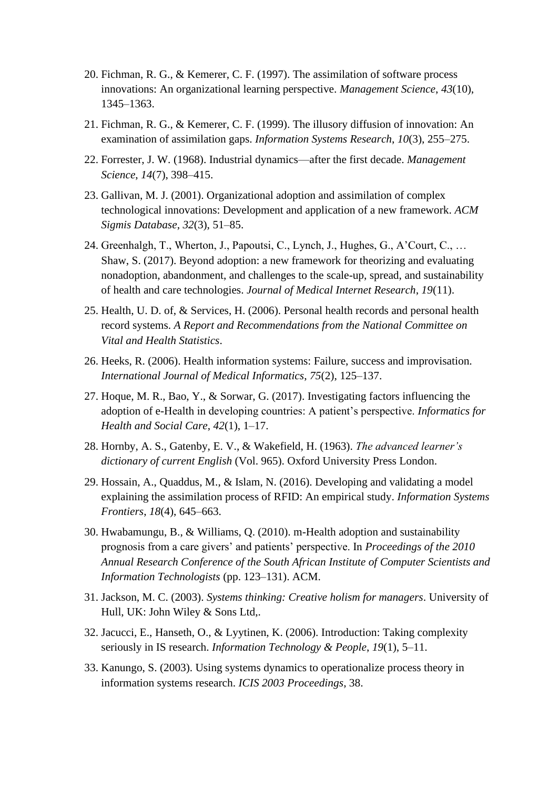- 20. Fichman, R. G., & Kemerer, C. F. (1997). The assimilation of software process innovations: An organizational learning perspective. *Management Science*, *43*(10), 1345–1363.
- 21. Fichman, R. G., & Kemerer, C. F. (1999). The illusory diffusion of innovation: An examination of assimilation gaps. *Information Systems Research*, *10*(3), 255–275.
- 22. Forrester, J. W. (1968). Industrial dynamics—after the first decade. *Management Science*, *14*(7), 398–415.
- 23. Gallivan, M. J. (2001). Organizational adoption and assimilation of complex technological innovations: Development and application of a new framework. *ACM Sigmis Database*, *32*(3), 51–85.
- 24. Greenhalgh, T., Wherton, J., Papoutsi, C., Lynch, J., Hughes, G., A'Court, C., … Shaw, S. (2017). Beyond adoption: a new framework for theorizing and evaluating nonadoption, abandonment, and challenges to the scale-up, spread, and sustainability of health and care technologies. *Journal of Medical Internet Research*, *19*(11).
- 25. Health, U. D. of, & Services, H. (2006). Personal health records and personal health record systems. *A Report and Recommendations from the National Committee on Vital and Health Statistics*.
- 26. Heeks, R. (2006). Health information systems: Failure, success and improvisation. *International Journal of Medical Informatics*, *75*(2), 125–137.
- 27. Hoque, M. R., Bao, Y., & Sorwar, G. (2017). Investigating factors influencing the adoption of e-Health in developing countries: A patient's perspective. *Informatics for Health and Social Care*, *42*(1), 1–17.
- 28. Hornby, A. S., Gatenby, E. V., & Wakefield, H. (1963). *The advanced learner's dictionary of current English* (Vol. 965). Oxford University Press London.
- 29. Hossain, A., Quaddus, M., & Islam, N. (2016). Developing and validating a model explaining the assimilation process of RFID: An empirical study. *Information Systems Frontiers*, *18*(4), 645–663.
- 30. Hwabamungu, B., & Williams, Q. (2010). m-Health adoption and sustainability prognosis from a care givers' and patients' perspective. In *Proceedings of the 2010 Annual Research Conference of the South African Institute of Computer Scientists and Information Technologists* (pp. 123–131). ACM.
- 31. Jackson, M. C. (2003). *Systems thinking: Creative holism for managers*. University of Hull, UK: John Wiley & Sons Ltd,.
- 32. Jacucci, E., Hanseth, O., & Lyytinen, K. (2006). Introduction: Taking complexity seriously in IS research. *Information Technology & People*, *19*(1), 5–11.
- 33. Kanungo, S. (2003). Using systems dynamics to operationalize process theory in information systems research. *ICIS 2003 Proceedings*, 38.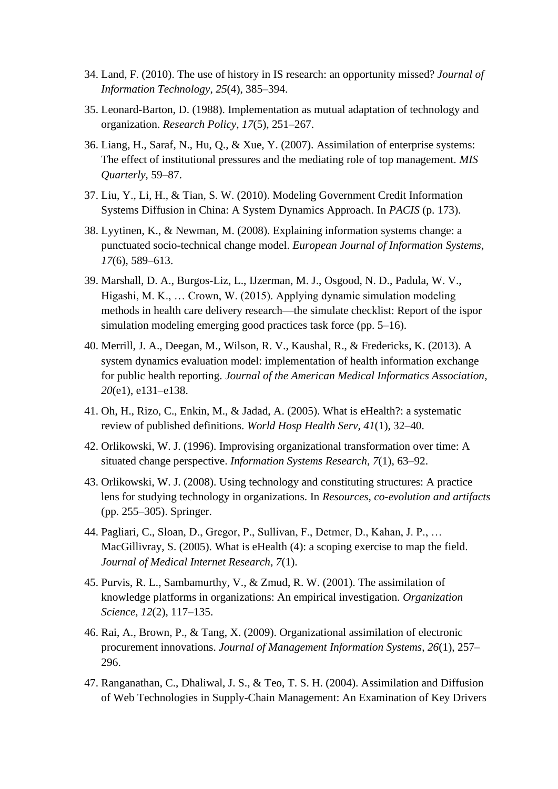- 34. Land, F. (2010). The use of history in IS research: an opportunity missed? *Journal of Information Technology*, *25*(4), 385–394.
- 35. Leonard-Barton, D. (1988). Implementation as mutual adaptation of technology and organization. *Research Policy*, *17*(5), 251–267.
- 36. Liang, H., Saraf, N., Hu, Q., & Xue, Y. (2007). Assimilation of enterprise systems: The effect of institutional pressures and the mediating role of top management. *MIS Quarterly*, 59–87.
- 37. Liu, Y., Li, H., & Tian, S. W. (2010). Modeling Government Credit Information Systems Diffusion in China: A System Dynamics Approach. In *PACIS* (p. 173).
- 38. Lyytinen, K., & Newman, M. (2008). Explaining information systems change: a punctuated socio-technical change model. *European Journal of Information Systems*, *17*(6), 589–613.
- 39. Marshall, D. A., Burgos-Liz, L., IJzerman, M. J., Osgood, N. D., Padula, W. V., Higashi, M. K., … Crown, W. (2015). Applying dynamic simulation modeling methods in health care delivery research—the simulate checklist: Report of the ispor simulation modeling emerging good practices task force (pp. 5–16).
- 40. Merrill, J. A., Deegan, M., Wilson, R. V., Kaushal, R., & Fredericks, K. (2013). A system dynamics evaluation model: implementation of health information exchange for public health reporting. *Journal of the American Medical Informatics Association*, *20*(e1), e131–e138.
- 41. Oh, H., Rizo, C., Enkin, M., & Jadad, A. (2005). What is eHealth?: a systematic review of published definitions. *World Hosp Health Serv*, *41*(1), 32–40.
- 42. Orlikowski, W. J. (1996). Improvising organizational transformation over time: A situated change perspective. *Information Systems Research*, *7*(1), 63–92.
- 43. Orlikowski, W. J. (2008). Using technology and constituting structures: A practice lens for studying technology in organizations. In *Resources, co-evolution and artifacts* (pp. 255–305). Springer.
- 44. Pagliari, C., Sloan, D., Gregor, P., Sullivan, F., Detmer, D., Kahan, J. P., … MacGillivray, S. (2005). What is eHealth (4): a scoping exercise to map the field. *Journal of Medical Internet Research*, *7*(1).
- 45. Purvis, R. L., Sambamurthy, V., & Zmud, R. W. (2001). The assimilation of knowledge platforms in organizations: An empirical investigation. *Organization Science*, *12*(2), 117–135.
- 46. Rai, A., Brown, P., & Tang, X. (2009). Organizational assimilation of electronic procurement innovations. *Journal of Management Information Systems*, *26*(1), 257– 296.
- 47. Ranganathan, C., Dhaliwal, J. S., & Teo, T. S. H. (2004). Assimilation and Diffusion of Web Technologies in Supply-Chain Management: An Examination of Key Drivers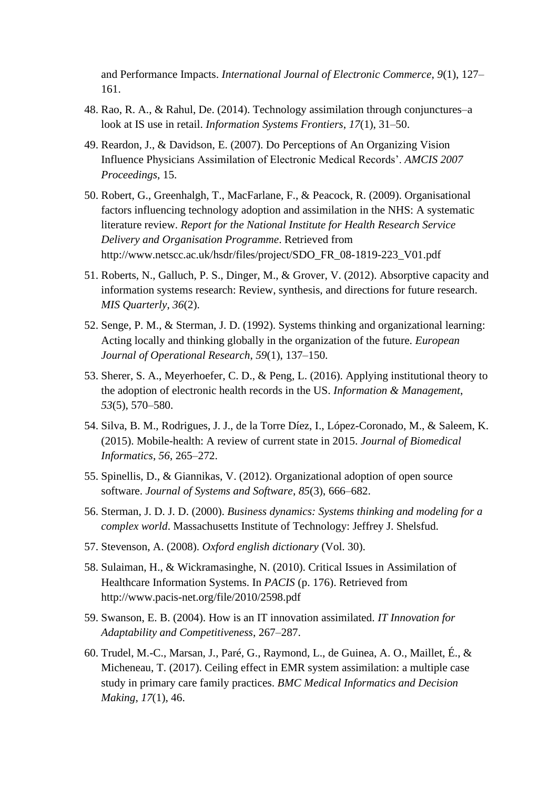and Performance Impacts. *International Journal of Electronic Commerce*, *9*(1), 127– 161.

- 48. Rao, R. A., & Rahul, De. (2014). Technology assimilation through conjunctures–a look at IS use in retail. *Information Systems Frontiers*, *17*(1), 31–50.
- 49. Reardon, J., & Davidson, E. (2007). Do Perceptions of An Organizing Vision Influence Physicians Assimilation of Electronic Medical Records'. *AMCIS 2007 Proceedings*, 15.
- 50. Robert, G., Greenhalgh, T., MacFarlane, F., & Peacock, R. (2009). Organisational factors influencing technology adoption and assimilation in the NHS: A systematic literature review. *Report for the National Institute for Health Research Service Delivery and Organisation Programme*. Retrieved from http://www.netscc.ac.uk/hsdr/files/project/SDO\_FR\_08-1819-223\_V01.pdf
- 51. Roberts, N., Galluch, P. S., Dinger, M., & Grover, V. (2012). Absorptive capacity and information systems research: Review, synthesis, and directions for future research. *MIS Quarterly*, *36*(2).
- 52. Senge, P. M., & Sterman, J. D. (1992). Systems thinking and organizational learning: Acting locally and thinking globally in the organization of the future. *European Journal of Operational Research*, *59*(1), 137–150.
- 53. Sherer, S. A., Meyerhoefer, C. D., & Peng, L. (2016). Applying institutional theory to the adoption of electronic health records in the US. *Information & Management*, *53*(5), 570–580.
- 54. Silva, B. M., Rodrigues, J. J., de la Torre Díez, I., López-Coronado, M., & Saleem, K. (2015). Mobile-health: A review of current state in 2015. *Journal of Biomedical Informatics*, *56*, 265–272.
- 55. Spinellis, D., & Giannikas, V. (2012). Organizational adoption of open source software. *Journal of Systems and Software*, *85*(3), 666–682.
- 56. Sterman, J. D. J. D. (2000). *Business dynamics: Systems thinking and modeling for a complex world*. Massachusetts Institute of Technology: Jeffrey J. Shelsfud.
- 57. Stevenson, A. (2008). *Oxford english dictionary* (Vol. 30).
- 58. Sulaiman, H., & Wickramasinghe, N. (2010). Critical Issues in Assimilation of Healthcare Information Systems. In *PACIS* (p. 176). Retrieved from http://www.pacis-net.org/file/2010/2598.pdf
- 59. Swanson, E. B. (2004). How is an IT innovation assimilated. *IT Innovation for Adaptability and Competitiveness*, 267–287.
- 60. Trudel, M.-C., Marsan, J., Paré, G., Raymond, L., de Guinea, A. O., Maillet, É., & Micheneau, T. (2017). Ceiling effect in EMR system assimilation: a multiple case study in primary care family practices. *BMC Medical Informatics and Decision Making*, *17*(1), 46.